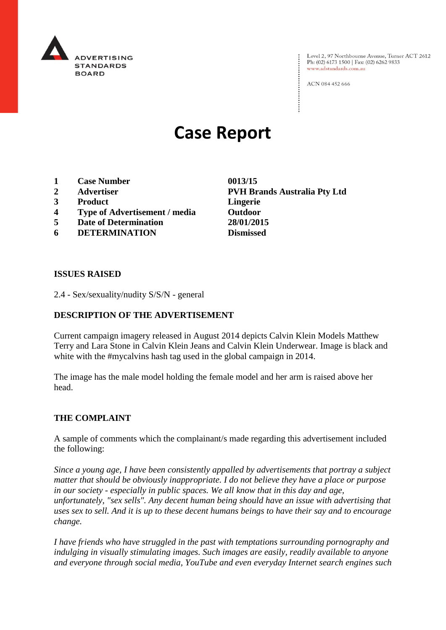

Level 2, 97 Northbourne Avenue, Turner ACT 2612 Ph: (02) 6173 1500 | Fax: (02) 6262 9833 www.adstandards.com.au

ACN 084 452 666

# **Case Report**

- **1 Case Number 0013/15**
- 
- **3 Product Lingerie**
- **4 Type of Advertisement / media Outdoor**
- **5 Date of Determination 28/01/2015**
- **6 DETERMINATION Dismissed**

**2 Advertiser PVH Brands Australia Pty Ltd**

#### **ISSUES RAISED**

2.4 - Sex/sexuality/nudity S/S/N - general

### **DESCRIPTION OF THE ADVERTISEMENT**

Current campaign imagery released in August 2014 depicts Calvin Klein Models Matthew Terry and Lara Stone in Calvin Klein Jeans and Calvin Klein Underwear. Image is black and white with the #mycalvins hash tag used in the global campaign in 2014.

The image has the male model holding the female model and her arm is raised above her head.

#### **THE COMPLAINT**

A sample of comments which the complainant/s made regarding this advertisement included the following:

*Since a young age, I have been consistently appalled by advertisements that portray a subject matter that should be obviously inappropriate. I do not believe they have a place or purpose in our society - especially in public spaces. We all know that in this day and age, unfortunately, "sex sells". Any decent human being should have an issue with advertising that uses sex to sell. And it is up to these decent humans beings to have their say and to encourage change.*

*I have friends who have struggled in the past with temptations surrounding pornography and indulging in visually stimulating images. Such images are easily, readily available to anyone and everyone through social media, YouTube and even everyday Internet search engines such*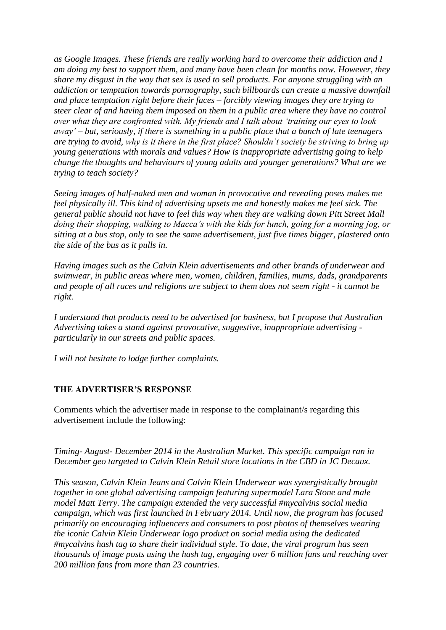*as Google Images. These friends are really working hard to overcome their addiction and I am doing my best to support them, and many have been clean for months now. However, they share my disgust in the way that sex is used to sell products. For anyone struggling with an addiction or temptation towards pornography, such billboards can create a massive downfall and place temptation right before their faces – forcibly viewing images they are trying to steer clear of and having them imposed on them in a public area where they have no control over what they are confronted with. My friends and I talk about 'training our eyes to look away' – but, seriously, if there is something in a public place that a bunch of late teenagers are trying to avoid, why is it there in the first place? Shouldn't society be striving to bring up young generations with morals and values? How is inappropriate advertising going to help change the thoughts and behaviours of young adults and younger generations? What are we trying to teach society?*

*Seeing images of half-naked men and woman in provocative and revealing poses makes me feel physically ill. This kind of advertising upsets me and honestly makes me feel sick. The general public should not have to feel this way when they are walking down Pitt Street Mall doing their shopping, walking to Macca's with the kids for lunch, going for a morning jog, or sitting at a bus stop, only to see the same advertisement, just five times bigger, plastered onto the side of the bus as it pulls in.*

*Having images such as the Calvin Klein advertisements and other brands of underwear and swimwear, in public areas where men, women, children, families, mums, dads, grandparents and people of all races and religions are subject to them does not seem right - it cannot be right.*

*I understand that products need to be advertised for business, but I propose that Australian Advertising takes a stand against provocative, suggestive, inappropriate advertising particularly in our streets and public spaces.*

*I will not hesitate to lodge further complaints.*

#### **THE ADVERTISER'S RESPONSE**

Comments which the advertiser made in response to the complainant/s regarding this advertisement include the following:

*Timing- August- December 2014 in the Australian Market. This specific campaign ran in December geo targeted to Calvin Klein Retail store locations in the CBD in JC Decaux.*

*This season, Calvin Klein Jeans and Calvin Klein Underwear was synergistically brought together in one global advertising campaign featuring supermodel Lara Stone and male model Matt Terry. The campaign extended the very successful #mycalvins social media campaign, which was first launched in February 2014. Until now, the program has focused primarily on encouraging influencers and consumers to post photos of themselves wearing the iconic Calvin Klein Underwear logo product on social media using the dedicated #mycalvins hash tag to share their individual style. To date, the viral program has seen thousands of image posts using the hash tag, engaging over 6 million fans and reaching over 200 million fans from more than 23 countries.*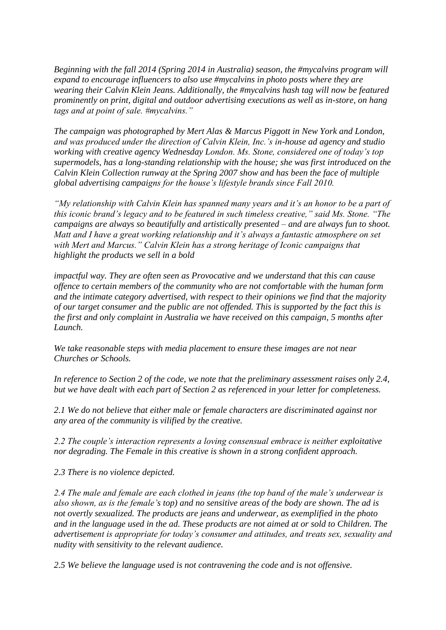*Beginning with the fall 2014 (Spring 2014 in Australia) season, the #mycalvins program will expand to encourage influencers to also use #mycalvins in photo posts where they are wearing their Calvin Klein Jeans. Additionally, the #mycalvins hash tag will now be featured prominently on print, digital and outdoor advertising executions as well as in-store, on hang tags and at point of sale. #mycalvins."*

*The campaign was photographed by Mert Alas & Marcus Piggott in New York and London, and was produced under the direction of Calvin Klein, Inc.'s in-house ad agency and studio working with creative agency Wednesday London. Ms. Stone, considered one of today's top supermodels, has a long-standing relationship with the house; she was first introduced on the Calvin Klein Collection runway at the Spring 2007 show and has been the face of multiple global advertising campaigns for the house's lifestyle brands since Fall 2010.*

*"My relationship with Calvin Klein has spanned many years and it's an honor to be a part of this iconic brand's legacy and to be featured in such timeless creative," said Ms. Stone. "The campaigns are always so beautifully and artistically presented – and are always fun to shoot. Matt and I have a great working relationship and it's always a fantastic atmosphere on set with Mert and Marcus." Calvin Klein has a strong heritage of Iconic campaigns that highlight the products we sell in a bold*

*impactful way. They are often seen as Provocative and we understand that this can cause offence to certain members of the community who are not comfortable with the human form and the intimate category advertised, with respect to their opinions we find that the majority of our target consumer and the public are not offended. This is supported by the fact this is the first and only complaint in Australia we have received on this campaign, 5 months after Launch.* 

*We take reasonable steps with media placement to ensure these images are not near Churches or Schools.*

*In reference to Section 2 of the code, we note that the preliminary assessment raises only 2.4, but we have dealt with each part of Section 2 as referenced in your letter for completeness.*

*2.1 We do not believe that either male or female characters are discriminated against nor any area of the community is vilified by the creative.*

*2.2 The couple's interaction represents a loving consensual embrace is neither exploitative nor degrading. The Female in this creative is shown in a strong confident approach.*

*2.3 There is no violence depicted.*

*2.4 The male and female are each clothed in jeans (the top band of the male's underwear is also shown, as is the female's top) and no sensitive areas of the body are shown. The ad is not overtly sexualized. The products are jeans and underwear, as exemplified in the photo and in the language used in the ad. These products are not aimed at or sold to Children. The advertisement is appropriate for today's consumer and attitudes, and treats sex, sexuality and nudity with sensitivity to the relevant audience.*

*2.5 We believe the language used is not contravening the code and is not offensive.*